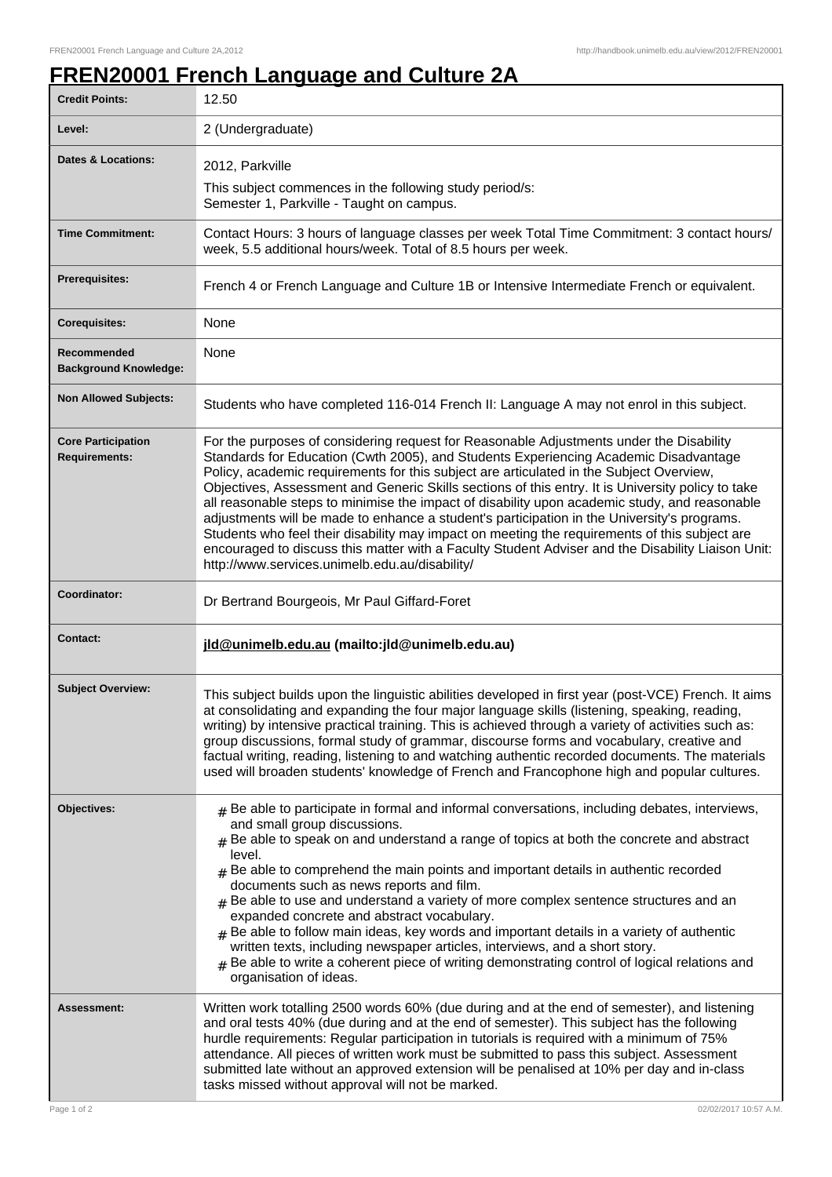## **FREN20001 French Language and Culture 2A**

| <b>Credit Points:</b>                             | 12.50                                                                                                                                                                                                                                                                                                                                                                                                                                                                                                                                                                                                                                                                                                                                                                                                                                   |
|---------------------------------------------------|-----------------------------------------------------------------------------------------------------------------------------------------------------------------------------------------------------------------------------------------------------------------------------------------------------------------------------------------------------------------------------------------------------------------------------------------------------------------------------------------------------------------------------------------------------------------------------------------------------------------------------------------------------------------------------------------------------------------------------------------------------------------------------------------------------------------------------------------|
| Level:                                            | 2 (Undergraduate)                                                                                                                                                                                                                                                                                                                                                                                                                                                                                                                                                                                                                                                                                                                                                                                                                       |
| <b>Dates &amp; Locations:</b>                     | 2012, Parkville                                                                                                                                                                                                                                                                                                                                                                                                                                                                                                                                                                                                                                                                                                                                                                                                                         |
|                                                   | This subject commences in the following study period/s:<br>Semester 1, Parkville - Taught on campus.                                                                                                                                                                                                                                                                                                                                                                                                                                                                                                                                                                                                                                                                                                                                    |
| <b>Time Commitment:</b>                           | Contact Hours: 3 hours of language classes per week Total Time Commitment: 3 contact hours/<br>week, 5.5 additional hours/week. Total of 8.5 hours per week.                                                                                                                                                                                                                                                                                                                                                                                                                                                                                                                                                                                                                                                                            |
| <b>Prerequisites:</b>                             | French 4 or French Language and Culture 1B or Intensive Intermediate French or equivalent.                                                                                                                                                                                                                                                                                                                                                                                                                                                                                                                                                                                                                                                                                                                                              |
| <b>Corequisites:</b>                              | None                                                                                                                                                                                                                                                                                                                                                                                                                                                                                                                                                                                                                                                                                                                                                                                                                                    |
| Recommended<br><b>Background Knowledge:</b>       | None                                                                                                                                                                                                                                                                                                                                                                                                                                                                                                                                                                                                                                                                                                                                                                                                                                    |
| <b>Non Allowed Subjects:</b>                      | Students who have completed 116-014 French II: Language A may not enrol in this subject.                                                                                                                                                                                                                                                                                                                                                                                                                                                                                                                                                                                                                                                                                                                                                |
| <b>Core Participation</b><br><b>Requirements:</b> | For the purposes of considering request for Reasonable Adjustments under the Disability<br>Standards for Education (Cwth 2005), and Students Experiencing Academic Disadvantage<br>Policy, academic requirements for this subject are articulated in the Subject Overview,<br>Objectives, Assessment and Generic Skills sections of this entry. It is University policy to take<br>all reasonable steps to minimise the impact of disability upon academic study, and reasonable<br>adjustments will be made to enhance a student's participation in the University's programs.<br>Students who feel their disability may impact on meeting the requirements of this subject are<br>encouraged to discuss this matter with a Faculty Student Adviser and the Disability Liaison Unit:<br>http://www.services.unimelb.edu.au/disability/ |
| Coordinator:                                      | Dr Bertrand Bourgeois, Mr Paul Giffard-Foret                                                                                                                                                                                                                                                                                                                                                                                                                                                                                                                                                                                                                                                                                                                                                                                            |
| Contact:                                          | jld@unimelb.edu.au (mailto: jld@unimelb.edu.au)                                                                                                                                                                                                                                                                                                                                                                                                                                                                                                                                                                                                                                                                                                                                                                                         |
| <b>Subject Overview:</b>                          | This subject builds upon the linguistic abilities developed in first year (post-VCE) French. It aims<br>at consolidating and expanding the four major language skills (listening, speaking, reading,<br>writing) by intensive practical training. This is achieved through a variety of activities such as:<br>group discussions, formal study of grammar, discourse forms and vocabulary, creative and<br>factual writing, reading, listening to and watching authentic recorded documents. The materials<br>used will broaden students' knowledge of French and Francophone high and popular cultures.                                                                                                                                                                                                                                |
| Objectives:                                       | $#$ Be able to participate in formal and informal conversations, including debates, interviews,<br>and small group discussions.<br>Be able to speak on and understand a range of topics at both the concrete and abstract<br>level.<br>$#$ Be able to comprehend the main points and important details in authentic recorded<br>documents such as news reports and film.<br>$#$ Be able to use and understand a variety of more complex sentence structures and an<br>expanded concrete and abstract vocabulary.<br>$#$ Be able to follow main ideas, key words and important details in a variety of authentic<br>written texts, including newspaper articles, interviews, and a short story.<br>Be able to write a coherent piece of writing demonstrating control of logical relations and<br>#<br>organisation of ideas.            |
| <b>Assessment:</b>                                | Written work totalling 2500 words 60% (due during and at the end of semester), and listening<br>and oral tests 40% (due during and at the end of semester). This subject has the following<br>hurdle requirements: Regular participation in tutorials is required with a minimum of 75%<br>attendance. All pieces of written work must be submitted to pass this subject. Assessment<br>submitted late without an approved extension will be penalised at 10% per day and in-class<br>tasks missed without approval will not be marked.                                                                                                                                                                                                                                                                                                 |
| Page 1 of 2                                       | 02/02/2017 10:57 A.M.                                                                                                                                                                                                                                                                                                                                                                                                                                                                                                                                                                                                                                                                                                                                                                                                                   |